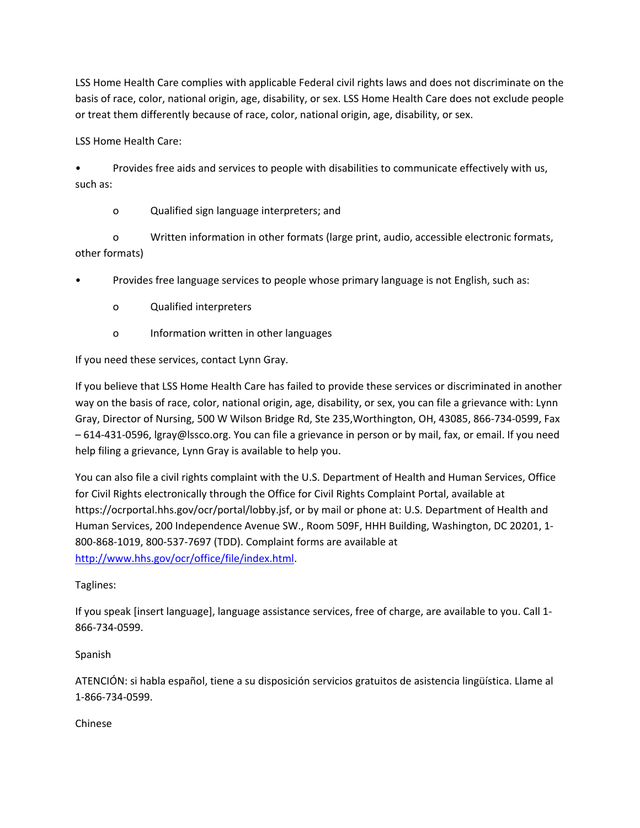LSS Home Health Care complies with applicable Federal civil rights laws and does not discriminate on the basis of race, color, national origin, age, disability, or sex. LSS Home Health Care does not exclude people or treat them differently because of race, color, national origin, age, disability, or sex.

LSS Home Health Care:

• Provides free aids and services to people with disabilities to communicate effectively with us, such as:

o Qualified sign language interpreters; and

o Written information in other formats (large print, audio, accessible electronic formats, other formats)

• Provides free language services to people whose primary language is not English, such as:

- o Qualified interpreters
- o Information written in other languages

If you need these services, contact Lynn Gray.

If you believe that LSS Home Health Care has failed to provide these services or discriminated in another way on the basis of race, color, national origin, age, disability, or sex, you can file a grievance with: Lynn Gray, Director of Nursing, 500 W Wilson Bridge Rd, Ste 235,Worthington, OH, 43085, 866-734-0599, Fax – 614-431-0596, lgray@lssco.org. You can file a grievance in person or by mail, fax, or email. If you need help filing a grievance, Lynn Gray is available to help you.

You can also file a civil rights complaint with the U.S. Department of Health and Human Services, Office for Civil Rights electronically through the Office for Civil Rights Complaint Portal, available at https://ocrportal.hhs.gov/ocr/portal/lobby.jsf, or by mail or phone at: U.S. Department of Health and Human Services, 200 Independence Avenue SW., Room 509F, HHH Building, Washington, DC 20201, 1- 800-868-1019, 800-537-7697 (TDD). Complaint forms are available at http://www.hhs.gov/ocr/office/file/index.html.

# Taglines:

If you speak [insert language], language assistance services, free of charge, are available to you. Call 1- 866-734-0599.

# Spanish

ATENCIÓN: si habla español, tiene a su disposición servicios gratuitos de asistencia lingüística. Llame al 1-866-734-0599.

Chinese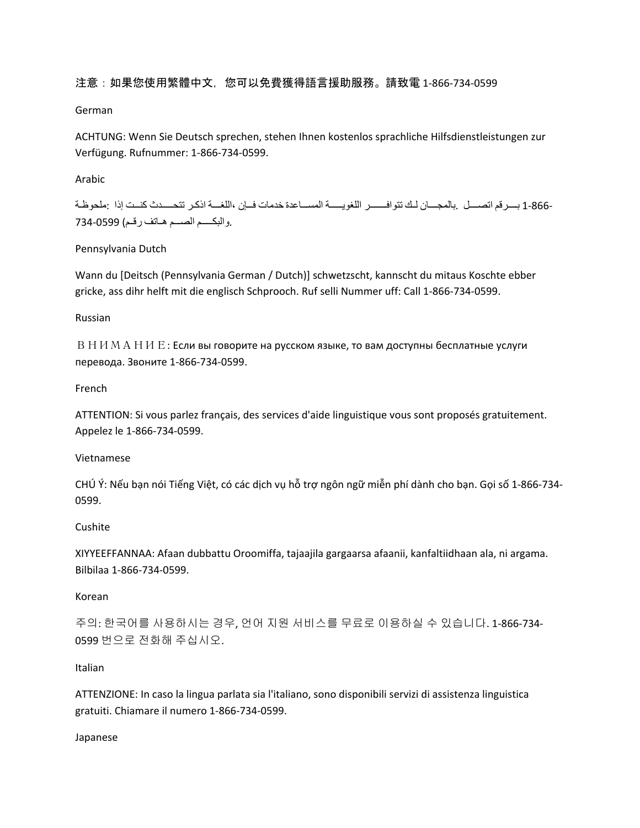注意:如果您使用繁體中文,您可以免費獲得語言援助服務。請致電 1-866-734-0599

#### German

ACHTUNG: Wenn Sie Deutsch sprechen, stehen Ihnen kostenlos sprachliche Hilfsdienstleistungen zur Verfügung. Rufnummer: 1-866-734-0599.

### Arabic

-1-866 بسـرقم اتصـــل بالمجـــان لـك تتوافـــــر اللغويــــة المســاعدة خدمات فــإن ،اللغـــة اذكر تتحــــدث كنــت إذا :ملحوظـة .والبكــم الصــم هـاتف رقـم) 734-0599

### Pennsylvania Dutch

Wann du [Deitsch (Pennsylvania German / Dutch)] schwetzscht, kannscht du mitaus Koschte ebber gricke, ass dihr helft mit die englisch Schprooch. Ruf selli Nummer uff: Call 1-866-734-0599.

#### Russian

ВНИМАНИЕ: Если вы говорите на русском языке, то вам доступны бесплатные услуги перевода. Звоните 1-866-734-0599.

#### French

ATTENTION: Si vous parlez français, des services d'aide linguistique vous sont proposés gratuitement. Appelez le 1-866-734-0599.

#### Vietnamese

CHÚ Ý: Nếu bạn nói Tiếng Việt, có các dịch vụ hỗ trợ ngôn ngữ miễn phí dành cho bạn. Gọi số 1-866-734- 0599.

#### Cushite

XIYYEEFFANNAA: Afaan dubbattu Oroomiffa, tajaajila gargaarsa afaanii, kanfaltiidhaan ala, ni argama. Bilbilaa 1-866-734-0599.

#### Korean

주의: 한국어를 사용하시는 경우, 언어 지원 서비스를 무료로 이용하실 수 있습니다. 1-866-734- 0599 번으로 전화해 주십시오.

#### Italian

ATTENZIONE: In caso la lingua parlata sia l'italiano, sono disponibili servizi di assistenza linguistica gratuiti. Chiamare il numero 1-866-734-0599.

#### Japanese